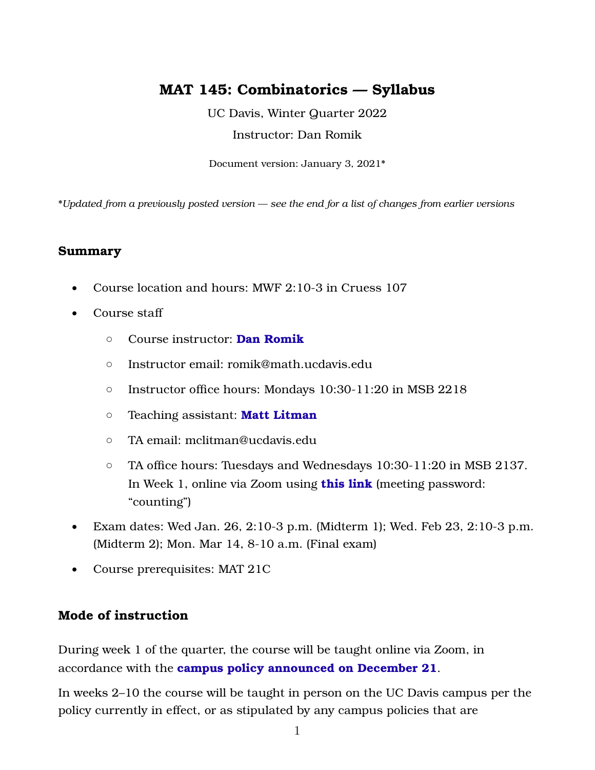# **MAT 145: Combinatorics — Syllabus**

UC Davis, Winter Quarter 2022 Instructor: Dan Romik

Document version: January 3, 2021\*

\*Updated from a previously posted version — see the end for a list of changes from earlier versions

#### **Summary**

- Course location and hours: MWF 2:10-3 in Cruess 107
- Course staff
	- Course instructor: **[Dan](https://www.math.ucdavis.edu/~romik/) [Romik](https://www.math.ucdavis.edu/~romik/)**
	- Instructor email: romik@math.ucdavis.edu
	- Instructor office hours: Mondays 10:30-11:20 in MSB 2218
	- Teaching assistant: **[Matt](https://www.math.ucdavis.edu/~mclitman/) [Litman](https://www.math.ucdavis.edu/~mclitman/)**
	- TA email: mclitman@ucdavis.edu
	- $\circ$  TA office hours: Tuesdays and Wednesdays 10:30-11:20 in MSB 2137. In Week 1, online via Zoom using **[this](https://ucdavis.zoom.us/j/91429061797?pwd=Z0RMYncvRjVQb2JZTks4YzB5Rm1BQT09) [link](https://ucdavis.zoom.us/j/91429061797?pwd=Z0RMYncvRjVQb2JZTks4YzB5Rm1BQT09)** (meeting password: "counting")
- Exam dates: Wed Jan. 26, 2:10-3 p.m. (Midterm 1); Wed. Feb 23, 2:10-3 p.m. (Midterm 2); Mon. Mar 14, 8-10 a.m. (Final exam)
- Course prerequisites: MAT 21C

### **Mode of instruction**

During week 1 of the quarter, the course will be taught online via Zoom, in accordance with the **[campus](https://campusready.ucdavis.edu/testing-response/winter-quarter) [policy](https://campusready.ucdavis.edu/testing-response/winter-quarter) [announced](https://campusready.ucdavis.edu/testing-response/winter-quarter) [on](https://campusready.ucdavis.edu/testing-response/winter-quarter) [December](https://campusready.ucdavis.edu/testing-response/winter-quarter) [21](https://campusready.ucdavis.edu/testing-response/winter-quarter)**.

In weeks 2–10 the course will be taught in person on the UC Davis campus per the policy currently in efect, or as stipulated by any campus policies that are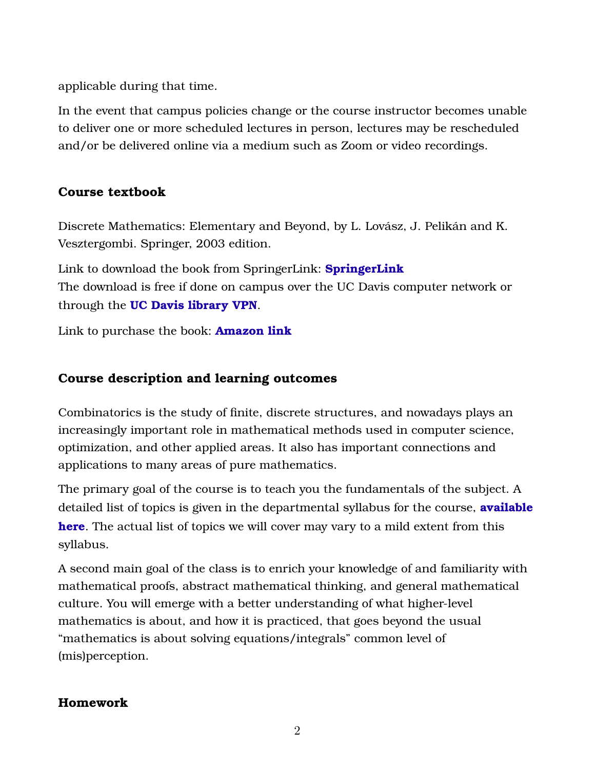applicable during that time.

In the event that campus policies change or the course instructor becomes unable to deliver one or more scheduled lectures in person, lectures may be rescheduled and/or be delivered online via a medium such as Zoom or video recordings.

## **Course textbook**

Discrete Mathematics: Elementary and Beyond, by L. Lovász, J. Pelikán and K. Vesztergombi. Springer, 2003 edition.

Link to download the book from Spring[erLink](https://link.springer.com/book/10.1007/b97469): **SpringerLink** The download is free if done on campus over the UC Davis computer network or through the **[UC](https://www.library.ucdavis.edu/service/connect-from-off-campus/) [Davis](https://www.library.ucdavis.edu/service/connect-from-off-campus/) [library](https://www.library.ucdavis.edu/service/connect-from-off-campus/) [VPN](https://www.library.ucdavis.edu/service/connect-from-off-campus/)**.

Link to purchase the book: **[Amazon](https://www.amazon.com/dp/0387955852/ref=cm_sw_em_r_mt_dp_PDDX6YA4XB48ZRAEMA41?_encoding=UTF8&psc=1) [link](https://www.amazon.com/dp/0387955852/ref=cm_sw_em_r_mt_dp_PDDX6YA4XB48ZRAEMA41?_encoding=UTF8&psc=1)**

## **Course description and learning outcomes**

Combinatorics is the study of fnite, discrete structures, and nowadays plays an increasingly important role in mathematical methods used in computer science, optimization, and other applied areas. It also has important connections and applications to many areas of pure mathematics.

The primary goal of the course is to teach you the fundamentals of the subject. A detailed list of topics is given in the departmental syllabus for the course, **[available](https://www.math.ucdavis.edu/courses/syllabus_detail?cm_id=109) [here](https://www.math.ucdavis.edu/courses/syllabus_detail?cm_id=109)**. The actual list of topics we will cover may vary to a mild extent from this syllabus.

A second main goal of the class is to enrich your knowledge of and familiarity with mathematical proofs, abstract mathematical thinking, and general mathematical culture. You will emerge with a better understanding of what higher-level mathematics is about, and how it is practiced, that goes beyond the usual "mathematics is about solving equations/integrals" common level of (mis)perception.

## **Homework**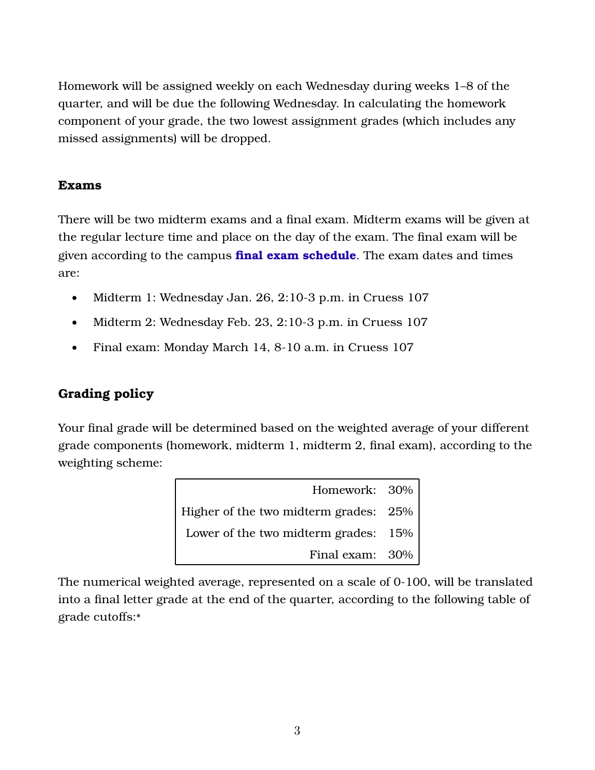Homework will be assigned weekly on each Wednesday during weeks 1–8 of the quarter, and will be due the following Wednesday. In calculating the homework component of your grade, the two lowest assignment grades (which includes any missed assignments) will be dropped.

### **Exams**

There will be two midterm exams and a fnal exam. Midterm exams will be given at the regular lecture time and place on the day of the exam. The fnal exam will be given according to the campus **f[nal](https://registrar.ucdavis.edu/registration/register-for-classes/finals) [exam](https://registrar.ucdavis.edu/registration/register-for-classes/finals) [schedule](https://registrar.ucdavis.edu/registration/register-for-classes/finals)**. The exam dates and times are:

- Midterm 1: Wednesday Jan. 26, 2:10-3 p.m. in Cruess 107
- Midterm 2: Wednesday Feb. 23, 2:10-3 p.m. in Cruess 107
- Final exam: Monday March 14, 8-10 a.m. in Cruess 107

## **Grading policy**

Your fnal grade will be determined based on the weighted average of your diferent grade components (homework, midterm 1, midterm 2, fnal exam), according to the weighting scheme:

| Homework: 30%                         |  |
|---------------------------------------|--|
| Higher of the two midterm grades: 25% |  |
| Lower of the two midterm grades: 15%  |  |
| Final exam: $30\%$                    |  |

The numerical weighted average, represented on a scale of 0-100, will be translated into a fnal letter grade at the end of the quarter, according to the following table of grade cutofs:\*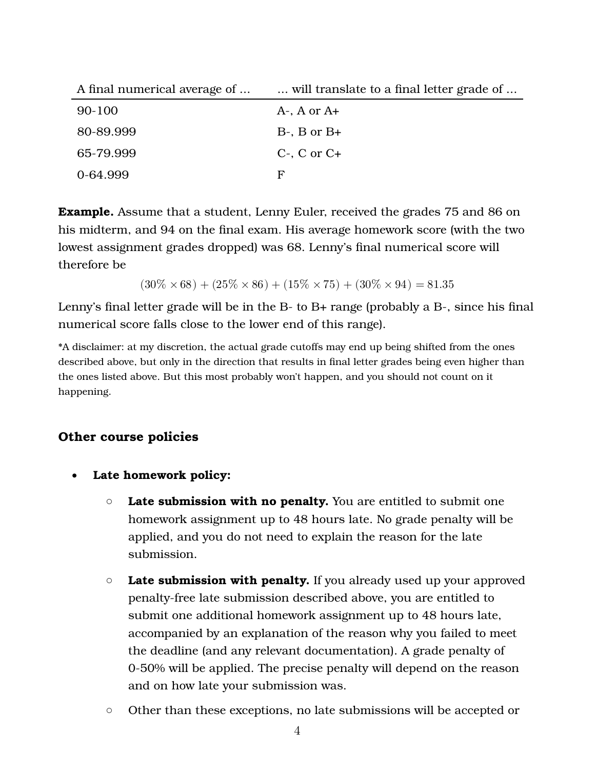| A final numerical average of | will translate to a final letter grade of |
|------------------------------|-------------------------------------------|
| 90-100                       | $A-$ , A or $A+$                          |
| 80-89.999                    | $B-$ , $B$ or $B+$                        |
| 65-79.999                    | $C$ -, $C$ or $C$ +                       |
| 0-64.999                     | F                                         |

**Example.** Assume that a student, Lenny Euler, received the grades 75 and 86 on his midterm, and 94 on the final exam. His average homework score (with the two lowest assignment grades dropped) was 68. Lenny's final numerical score will therefore be

 $(30\% \times 68) + (25\% \times 86) + (15\% \times 75) + (30\% \times 94) = 81.35$ 

Lenny's fnal letter grade will be in the B- to B+ range (probably a B-, since his fnal numerical score falls close to the lower end of this range).

\*A disclaimer: at my discretion, the actual grade cutofs may end up being shifted from the ones described above, but only in the direction that results in fnal letter grades being even higher than the ones listed above. But this most probably won't happen, and you should not count on it happening.

## **Other course policies**

- **Late homework policy:**
	- **Late submission with no penalty.** You are entitled to submit one homework assignment up to 48 hours late. No grade penalty will be applied, and you do not need to explain the reason for the late submission.
	- **Late submission with penalty.** If you already used up your approved penalty-free late submission described above, you are entitled to submit one additional homework assignment up to 48 hours late, accompanied by an explanation of the reason why you failed to meet the deadline (and any relevant documentation). A grade penalty of 0-50% will be applied. The precise penalty will depend on the reason and on how late your submission was.
	- Other than these exceptions, no late submissions will be accepted or